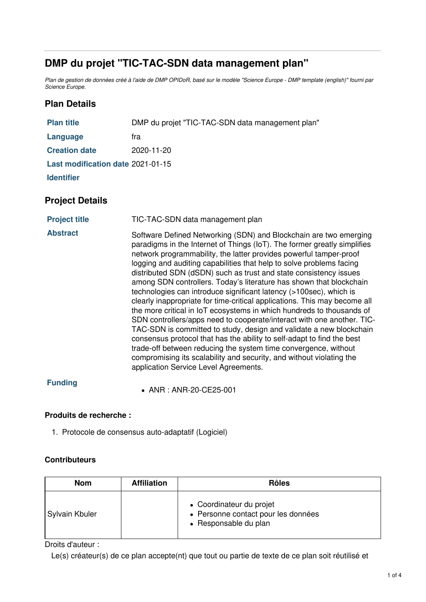# **DMP du projet "TIC-TAC-SDN data management plan"**

Plan de gestion de données créé à l'aide de DMP OPIDoR, basé sur le modèle "Science Europe - DMP template (english)" fourni par *Science Europe.*

# **Plan Details**

| <b>Plan title</b>                 | DMP du projet "TIC-TAC-SDN data management plan" |  |
|-----------------------------------|--------------------------------------------------|--|
| Language                          | tra                                              |  |
| <b>Creation date</b>              | 2020-11-20                                       |  |
| Last modification date 2021-01-15 |                                                  |  |
| <b>Identifier</b>                 |                                                  |  |
|                                   |                                                  |  |

# **Project Details**

**Project title** TIC-TAC-SDN data management plan

Abstract Software Defined Networking (SDN) and Blockchain are two emerging paradigms in the Internet of Things (IoT). The former greatly simplifies network programmability, the latter provides powerful tamper-proof logging and auditing capabilities that help to solve problems facing distributed SDN (dSDN) such as trust and state consistency issues among SDN controllers. Today's literature has shown that blockchain technologies can introduce significant latency (>100sec), which is clearly inappropriate for time-critical applications. This may become all the more critical in IoT ecosystems in which hundreds to thousands of SDN controllers/apps need to cooperate/interact with one another. TIC-TAC-SDN is committed to study, design and validate a new blockchain consensus protocol that has the ability to self-adapt to find the best trade-off between reducing the system time convergence, without compromising its scalability and security, and without violating the application Service Level Agreements.

# **Funding**

 $\bullet$  ANR  $\cdot$  ANR-20-CF25-001

#### **Produits de recherche :**

1. Protocole de consensus auto-adaptatif (Logiciel)

#### **Contributeurs**

| <b>Nom</b>            | <b>Affiliation</b> | <b>Rôles</b>                                                                             |
|-----------------------|--------------------|------------------------------------------------------------------------------------------|
| <b>Sylvain Kbuler</b> |                    | • Coordinateur du projet<br>• Personne contact pour les données<br>• Responsable du plan |

Droits d'auteur :

Le(s) créateur(s) de ce plan accepte(nt) que tout ou partie de texte de ce plan soit réutilisé et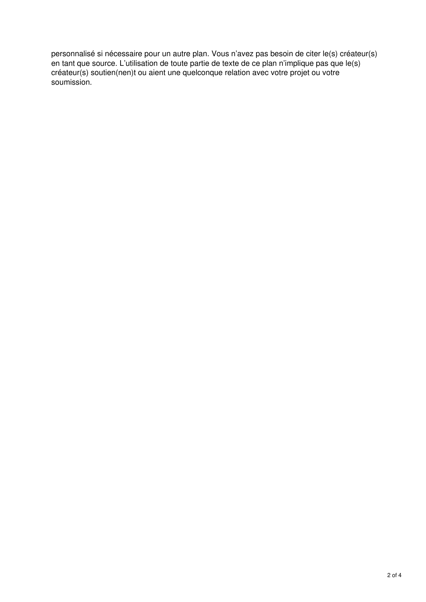personnalisé si nécessaire pour un autre plan. Vous n'avez pas besoin de citer le(s) créateur(s) en tant que source. L'utilisation de toute partie de texte de ce plan n'implique pas que le(s) créateur(s) soutien(nen)t ou aient une quelconque relation avec votre projet ou votre soumission.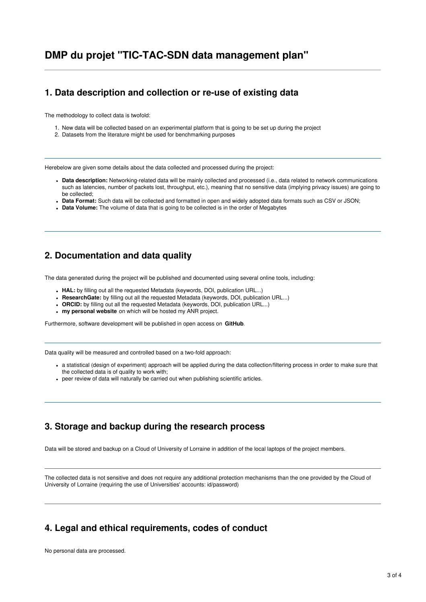#### **1. Data description and collection or re-use of existing data**

The methodology to collect data is twofold:

- 1. New data will be collected based on an experimental platform that is going to be set up during the project
- 2. Datasets from the literature might be used for benchmarking purposes

Herebelow are given some details about the data collected and processed during the project:

- **Data description:** Networking-related data will be mainly collected and processed (i.e., data related to network communications such as latencies, number of packets lost, throughput, etc.), meaning that no sensitive data (implying privacy issues) are going to be collected;
- **Data Format:** Such data will be collected and formatted in open and widely adopted data formats such as CSV or JSON;
- **Data Volume:** The volume of data that is going to be collected is in the order of Megabytes

# **2. Documentation and data quality**

The data generated during the project will be published and documented using several online tools, including:

- **HAL:** by filling out all the requested Metadata (keywords, DOI, publication URL...)
- **ResearchGate:** by filling out all the requested Metadata (keywords, DOI, publication URL...)
- **ORCID:** by filling out all the requested Metadata (keywords, DOI, publication URL...)
- **my personal website** on which will be hosted my ANR project.

Furthermore, software development will be published in open access on **GitHub**.

Data quality will be measured and controlled based on a two-fold approach:

- a statistical (design of experiment) approach will be applied during the data collection/filtering process in order to make sure that the collected data is of quality to work with;
- peer review of data will naturally be carried out when publishing scientific articles.

# **3. Storage and backup during the research process**

Data will be stored and backup on a Cloud of University of Lorraine in addition of the local laptops of the project members.

The collected data is not sensitive and does not require any additional protection mechanisms than the one provided by the Cloud of University of Lorraine (requiring the use of Universities' accounts: id/password)

# **4. Legal and ethical requirements, codes of conduct**

No personal data are processed.